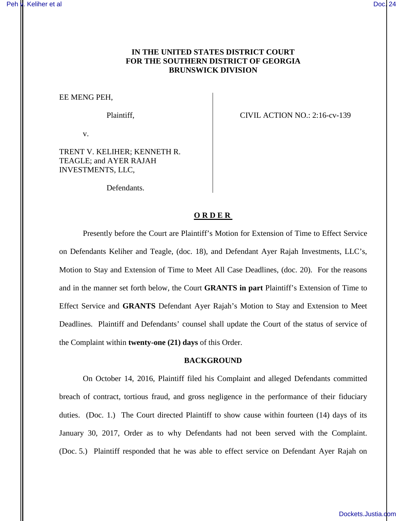# **IN THE UNITED STATES DISTRICT COURT FOR THE SOUTHERN DISTRICT OF GEORGIA BRUNSWICK DIVISION**

EE MENG PEH,

v.

TRENT V. KELIHER; KENNETH R. TEAGLE; and AYER RAJAH INVESTMENTS, LLC,

Defendants.

Plaintiff, CIVIL ACTION NO.: 2:16-cv-139

### **ORDER**

Presently before the Court are Plaintiff's Motion for Extension of Time to Effect Service on Defendants Keliher and Teagle, (doc. 18), and Defendant Ayer Rajah Investments, LLC's, Motion to Stay and Extension of Time to Meet All Case Deadlines, (doc. 20). For the reasons and in the manner set forth below, the Court **GRANTS in part** Plaintiff's Extension of Time to Effect Service and **GRANTS** Defendant Ayer Rajah's Motion to Stay and Extension to Meet Deadlines. Plaintiff and Defendants' counsel shall update the Court of the status of service of the Complaint within **twenty-one (21) days** of this Order.

### **BACKGROUND**

On October 14, 2016, Plaintiff filed his Complaint and alleged Defendants committed breach of contract, tortious fraud, and gross negligence in the performance of their fiduciary duties. (Doc. 1.) The Court directed Plaintiff to show cause within fourteen (14) days of its January 30, 2017, Order as to why Defendants had not been served with the Complaint. (Doc. 5.) Plaintiff responded that he was able to effect service on Defendant Ayer Rajah on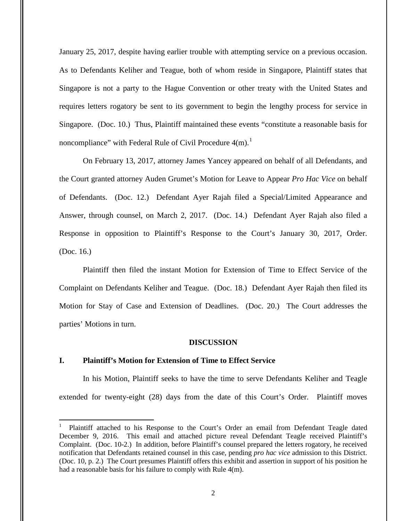January 25, 2017, despite having earlier trouble with attempting service on a previous occasion. As to Defendants Keliher and Teague, both of whom reside in Singapore, Plaintiff states that Singapore is not a party to the Hague Convention or other treaty with the United States and requires letters rogatory be sent to its government to begin the lengthy process for service in Singapore. (Doc. 10.) Thus, Plaintiff maintained these events "constitute a reasonable basis for noncompliance" with Federal Rule of Civil Procedure  $4(m)$ .<sup>1</sup>

On February 13, 2017, attorney James Yancey appeared on behalf of all Defendants, and the Court granted attorney Auden Grumet's Motion for Leave to Appear *Pro Hac Vice* on behalf of Defendants. (Doc. 12.) Defendant Ayer Rajah filed a Special/Limited Appearance and Answer, through counsel, on March 2, 2017. (Doc. 14.) Defendant Ayer Rajah also filed a Response in opposition to Plaintiff's Response to the Court's January 30, 2017, Order. (Doc. 16.)

Plaintiff then filed the instant Motion for Extension of Time to Effect Service of the Complaint on Defendants Keliher and Teague. (Doc. 18.) Defendant Ayer Rajah then filed its Motion for Stay of Case and Extension of Deadlines. (Doc. 20.) The Court addresses the parties' Motions in turn.

#### **DISCUSSION**

## **I. Plaintiff's Motion for Extension of Time to Effect Service**

 $\overline{a}$ 

In his Motion, Plaintiff seeks to have the time to serve Defendants Keliher and Teagle extended for twenty-eight (28) days from the date of this Court's Order. Plaintiff moves

<sup>1</sup> Plaintiff attached to his Response to the Court's Order an email from Defendant Teagle dated December 9, 2016. This email and attached picture reveal Defendant Teagle received Plaintiff's Complaint. (Doc. 10-2.) In addition, before Plaintiff's counsel prepared the letters rogatory, he received notification that Defendants retained counsel in this case, pending *pro hac vice* admission to this District. (Doc. 10, p. 2.) The Court presumes Plaintiff offers this exhibit and assertion in support of his position he had a reasonable basis for his failure to comply with Rule 4(m).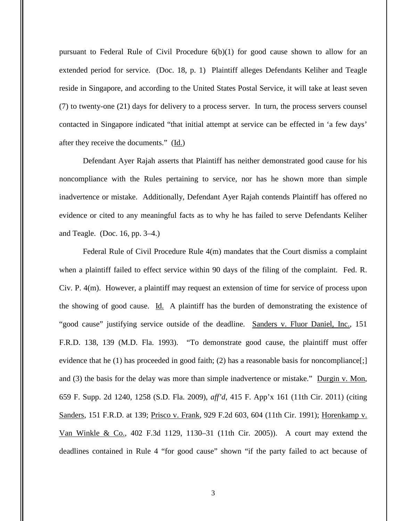pursuant to Federal Rule of Civil Procedure  $6(b)(1)$  for good cause shown to allow for an extended period for service. (Doc. 18, p. 1) Plaintiff alleges Defendants Keliher and Teagle reside in Singapore, and according to the United States Postal Service, it will take at least seven (7) to twenty-one (21) days for delivery to a process server. In turn, the process servers counsel contacted in Singapore indicated "that initial attempt at service can be effected in 'a few days' after they receive the documents." (Id.)

Defendant Ayer Rajah asserts that Plaintiff has neither demonstrated good cause for his noncompliance with the Rules pertaining to service, nor has he shown more than simple inadvertence or mistake. Additionally, Defendant Ayer Rajah contends Plaintiff has offered no evidence or cited to any meaningful facts as to why he has failed to serve Defendants Keliher and Teagle. (Doc. 16, pp. 3–4.)

Federal Rule of Civil Procedure Rule 4(m) mandates that the Court dismiss a complaint when a plaintiff failed to effect service within 90 days of the filing of the complaint. Fed. R. Civ. P. 4(m). However, a plaintiff may request an extension of time for service of process upon the showing of good cause. Id. A plaintiff has the burden of demonstrating the existence of "good cause" justifying service outside of the deadline. Sanders v. Fluor Daniel, Inc., 151 F.R.D. 138, 139 (M.D. Fla. 1993). "To demonstrate good cause, the plaintiff must offer evidence that he  $(1)$  has proceeded in good faith;  $(2)$  has a reasonable basis for noncompliance[;] and  $(3)$  the basis for the delay was more than simple inadvertence or mistake." Durgin v. Mon, 659 F. Supp. 2d 1240, 1258 (S.D. Fla. 2009), *aff'd*, 415 F. App'x 161 (11th Cir. 2011) (citing Sanders, 151 F.R.D. at 139; Prisco v. Frank, 929 F.2d 603, 604 (11th Cir. 1991); Horenkamp v. Van Winkle & Co., 402 F.3d 1129, 1130–31 (11th Cir. 2005)). A court may extend the deadlines contained in Rule 4 "for good cause" shown "if the party failed to act because of

3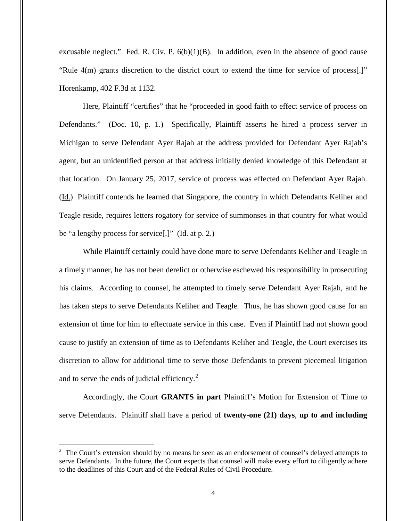excusable neglect." Fed. R. Civ. P.  $6(b)(1)(B)$ . In addition, even in the absence of good cause "Rule 4(m) grants discretion to the district court to extend the time for service of process[.]" Horenkamp, 402 F.3d at 1132.

Here, Plaintiff "certifies" that he "proceeded in good faith to effect service of process on Defendants." (Doc. 10, p. 1.) Specifically, Plaintiff asserts he hired a process server in Michigan to serve Defendant Ayer Rajah at the address provided for Defendant Ayer Rajah's agent, but an unidentified person at that address initially denied knowledge of this Defendant at that location. On January 25, 2017, service of process was effected on Defendant Ayer Rajah. (Id.) Plaintiff contends he learned that Singapore, the country in which Defendants Keliher and Teagle reside, requires letters rogatory for service of summonses in that country for what would be "a lengthy process for service[.]" (Id. at p. 2.)

While Plaintiff certainly could have done more to serve Defendants Keliher and Teagle in a timely manner, he has not been derelict or otherwise eschewed his responsibility in prosecuting his claims. According to counsel, he attempted to timely serve Defendant Ayer Rajah, and he has taken steps to serve Defendants Keliher and Teagle. Thus, he has shown good cause for an extension of time for him to effectuate service in this case. Even if Plaintiff had not shown good cause to justify an extension of time as to Defendants Keliher and Teagle, the Court exercises its discretion to allow for additional time to serve those Defendants to prevent piecemeal litigation and to serve the ends of judicial efficiency. $2$ 

Accordingly, the Court **GRANTS in part** Plaintiff's Motion for Extension of Time to serve Defendants. Plaintiff shall have a period of **twenty-one (21) days**, **up to and including** 

<u>.</u>

 $2$  The Court's extension should by no means be seen as an endorsement of counsel's delayed attempts to serve Defendants. In the future, the Court expects that counsel will make every effort to diligently adhere to the deadlines of this Court and of the Federal Rules of Civil Procedure.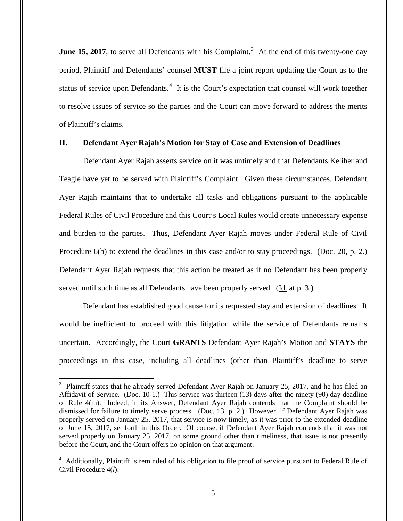**June 15, 2017**, to serve all Defendants with his Complaint.<sup>3</sup> At the end of this twenty-one day period, Plaintiff and Defendants' counsel **MUST** file a joint report updating the Court as to the status of service upon Defendants.<sup>4</sup> It is the Court's expectation that counsel will work together to resolve issues of service so the parties and the Court can move forward to address the merits of Plaintiff's claims.

### **II. Defendant Ayer Rajah's Motion for Stay of Case and Extension of Deadlines**

Defendant Ayer Rajah asserts service on it was untimely and that Defendants Keliher and Teagle have yet to be served with Plaintiff's Complaint. Given these circumstances, Defendant Ayer Rajah maintains that to undertake all tasks and obligations pursuant to the applicable Federal Rules of Civil Procedure and this Court's Local Rules would create unnecessary expense and burden to the parties. Thus, Defendant Ayer Rajah moves under Federal Rule of Civil Procedure 6(b) to extend the deadlines in this case and/or to stay proceedings. (Doc. 20, p. 2.) Defendant Ayer Rajah requests that this action be treated as if no Defendant has been properly served until such time as all Defendants have been properly served. (Id. at p. 3.)

 Defendant has established good cause for its requested stay and extension of deadlines. It would be inefficient to proceed with this litigation while the service of Defendants remains uncertain. Accordingly, the Court **GRANTS** Defendant Ayer Rajah's Motion and **STAYS** the proceedings in this case, including all deadlines (other than Plaintiff's deadline to serve

 3 Plaintiff states that he already served Defendant Ayer Rajah on January 25, 2017, and he has filed an Affidavit of Service. (Doc. 10-1.) This service was thirteen (13) days after the ninety (90) day deadline of Rule 4(m). Indeed, in its Answer, Defendant Ayer Rajah contends that the Complaint should be dismissed for failure to timely serve process. (Doc. 13, p. 2.) However, if Defendant Ayer Rajah was properly served on January 25, 2017, that service is now timely, as it was prior to the extended deadline of June 15, 2017, set forth in this Order. Of course, if Defendant Ayer Rajah contends that it was not served properly on January 25, 2017, on some ground other than timeliness, that issue is not presently before the Court, and the Court offers no opinion on that argument.

<sup>&</sup>lt;sup>4</sup> Additionally, Plaintiff is reminded of his obligation to file proof of service pursuant to Federal Rule of Civil Procedure 4(*l*).